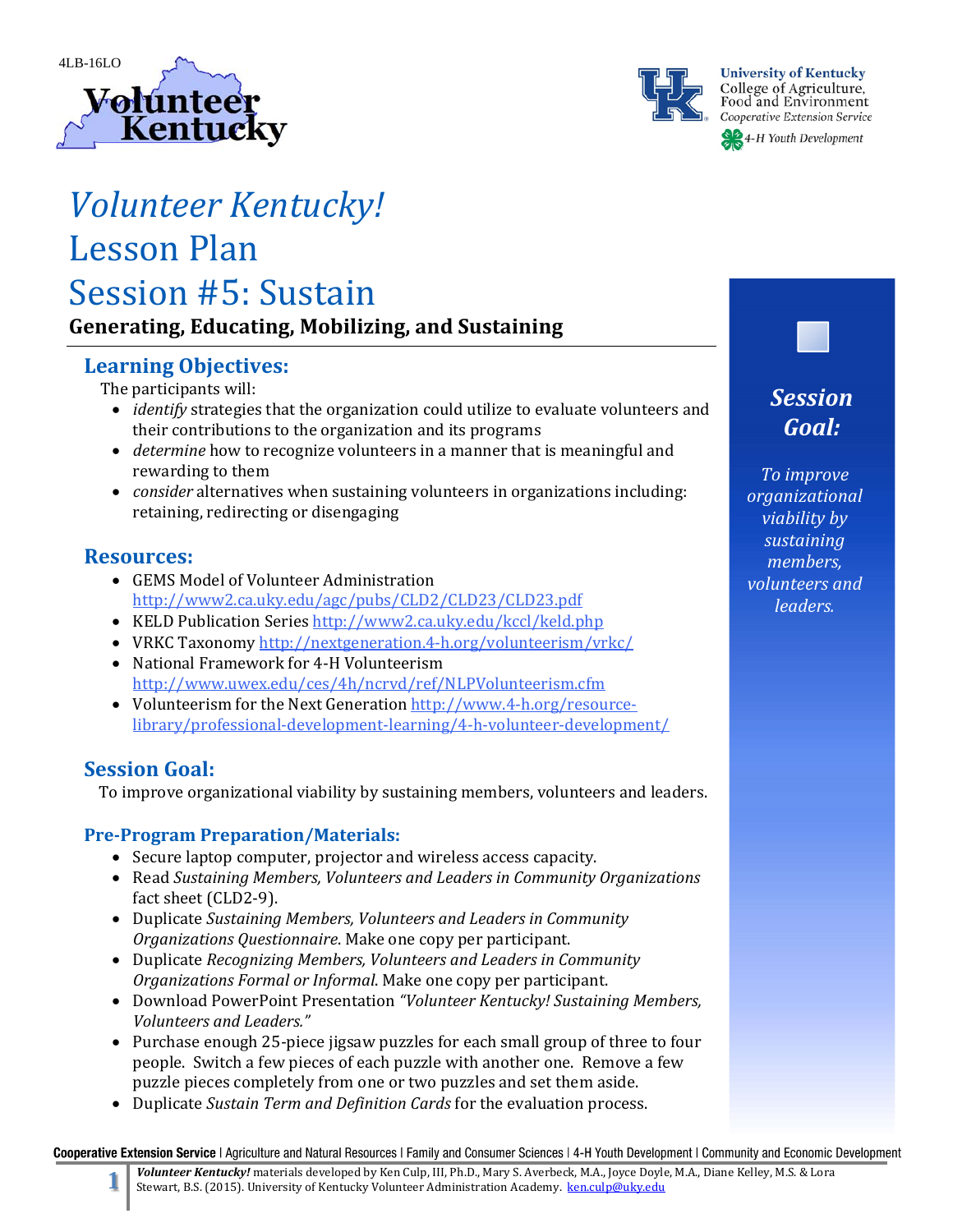



**University of Kentucky** College of Agriculture,<br>Food and Environment Cooperative Extension Service

4-H Youth Development

# *Volunteer Kentucky!* Lesson Plan

Session #5: Sustain

# **Generating, Educating, Mobilizing, and Sustaining**

# **Learning Objectives:**

The participants will:

- *identify* strategies that the organization could utilize to evaluate volunteers and their contributions to the organization and its programs
- *determine* how to recognize volunteers in a manner that is meaningful and rewarding to them
- *consider* alternatives when sustaining volunteers in organizations including: retaining, redirecting or disengaging

## **Resources:**

- GEMS Model of Volunteer Administration http://www2.ca.uky.edu/agc/pubs/CLD2/CLD23/CLD23.pdf
- KELD Publication Series http://www2.ca.uky.edu/kccl/keld.php
- VRKC Taxonomy http://nextgeneration.4-h.org/volunteerism/vrkc/
- National Framework for 4-H Volunteerism http://www.uwex.edu/ces/4h/ncrvd/ref/NLPVolunteerism.cfm
- Volunteerism for the Next Generation http://www.4-h.org/resourcelibrary/professional‐development‐learning/4‐h‐volunteer‐development/

# **Session Goal:**

To improve organizational viability by sustaining members, volunteers and leaders.

## **Pre‐Program Preparation/Materials:**

- Secure laptop computer, projector and wireless access capacity.
- Read *Sustaining Members, Volunteers and Leaders in Community Organizations* fact sheet (CLD2-9).
- Duplicate *Sustaining Members, Volunteers and Leaders in Community Organizations Questionnaire. Make one copy per participant.*
- Duplicate *Recognizing Members, Volunteers and Leaders in Community Organizations Formal or Informal*. Make one copy per participant.
- Download PowerPoint Presentation *"Volunteer Kentucky! Sustaining Members, Volunteers and Leaders."*
- Purchase enough 25-piece jigsaw puzzles for each small group of three to four people. Switch a few pieces of each puzzle with another one. Remove a few puzzle pieces completely from one or two puzzles and set them aside.
- Duplicate *Sustain Term and Definition Cards* for the evaluation process.

Cooperative Extension Service | Agriculture and Natural Resources | Family and Consumer Sciences | 4-H Youth Development | Community and Economic Development

*sustaining members, volunteers and*

*leaders.*

*Session Goal:*

*To improve organizational viability by*

Volunteer Kentucky! materials developed by Ken Culp, III, Ph.D., Mary S. Averbeck, M.A., Joyce Doyle, M.A., Diane Kelley, M.S. & Lora Stewart, B.S. (2015). University of Kentucky Volunteer Administration Academy. ken.culp@uky.edu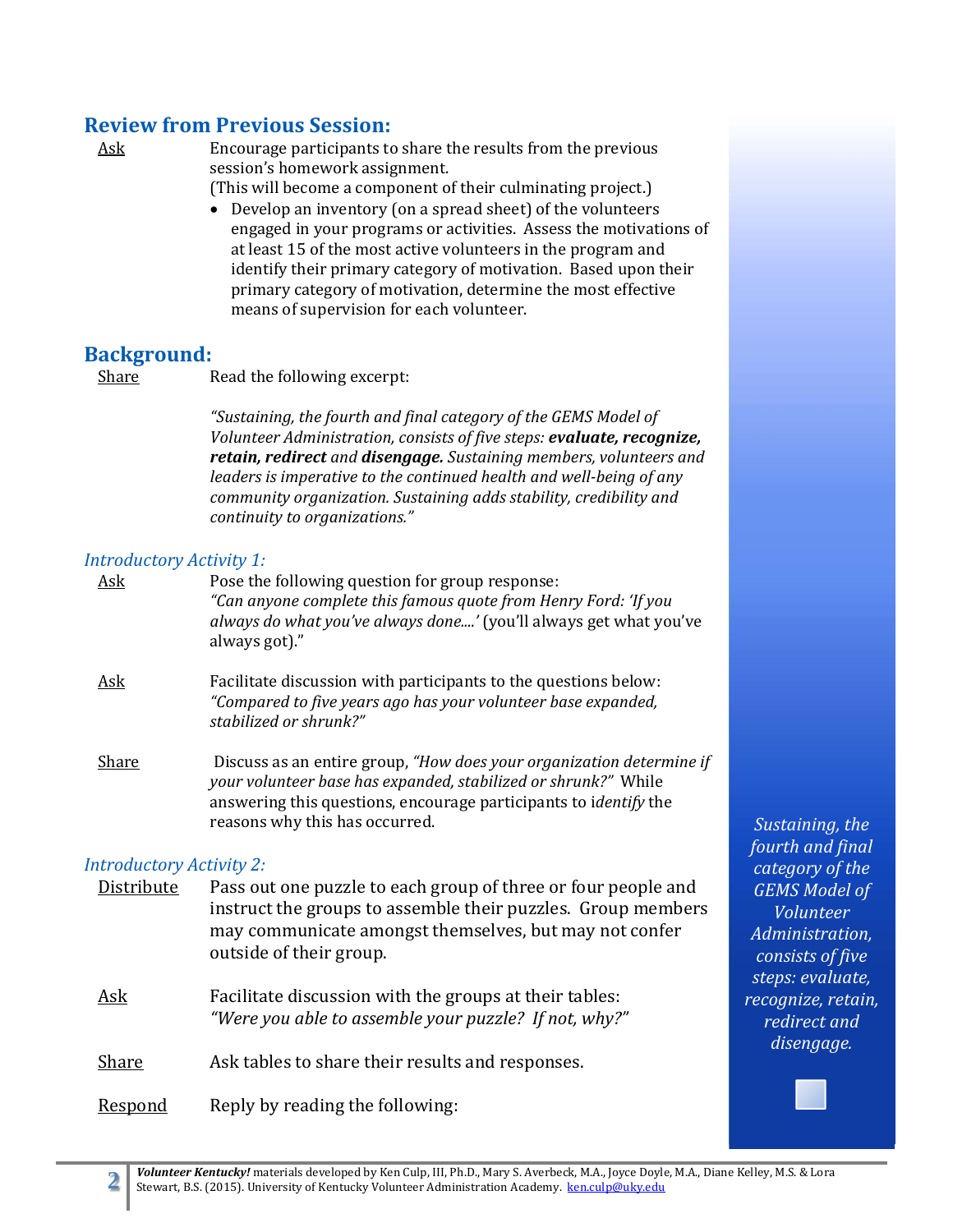## **Review from Previous Session:**

Ask Encourage participants to share the results from the previous session's homework assignment.

(This will become a component of their culminating project.)

 $\bullet$  Develop an inventory (on a spread sheet) of the volunteers engaged in your programs or activities. Assess the motivations of at least 15 of the most active volunteers in the program and identify their primary category of motivation. Based upon their primary category of motivation, determine the most effective means of supervision for each volunteer.

## **Background:**

Share Read the following excerpt:

*"Sustaining, the fourth and final category of the GEMS Model of Volunteer Administration, consists of five steps: evaluate, recognize, retain, redirect and disengage. Sustaining members, volunteers and leaders is imperative to the continued health and well‐being of any community organization. Sustaining adds stability, credibility and continuity to organizations."*

#### *Introductory Activity 1:*

| Ask                             | Pose the following question for group response:<br>"Can anyone complete this famous quote from Henry Ford: 'If you<br><i>always do what you've always done'</i> (you'll always get what you've<br>always got)."                                     |
|---------------------------------|-----------------------------------------------------------------------------------------------------------------------------------------------------------------------------------------------------------------------------------------------------|
| <u>Ask</u>                      | Facilitate discussion with participants to the questions below:<br>"Compared to five years ago has your volunteer base expanded,<br>stabilized or shrunk?"                                                                                          |
| Share                           | Discuss as an entire group, "How does your organization determine if<br>your volunteer base has expanded, stabilized or shrunk?" While<br>answering this questions, encourage participants to <i>identify</i> the<br>reasons why this has occurred. |
| <b>Introductory Activity 2:</b> |                                                                                                                                                                                                                                                     |
| Distribute                      | Pass out one puzzle to each group of three or four people and                                                                                                                                                                                       |

instruct the groups to assemble their puzzles. Group members may communicate amongst themselves, but may not confer outside of their group.

Ask Facilitate discussion with the groups at their tables: *"Were you able to assemble your puzzle? If not, why?"*

Share Ask tables to share their results and responses.

**Respond** Reply by reading the following:

*Sustaining, the fourth and final category of the GEMS Model of Volunteer Administration, consists of five steps: evaluate, recognize, retain, redirect and disengage.*

Volunteer Kentucky! materials developed by Ken Culp, III, Ph.D., Mary S. Averbeck, M.A., Joyce Doyle, M.A., Diane Kelley, M.S. & Lora Stewart, B.S. (2015). University of Kentucky Volunteer Administration Academy. ken.culp@uky.edu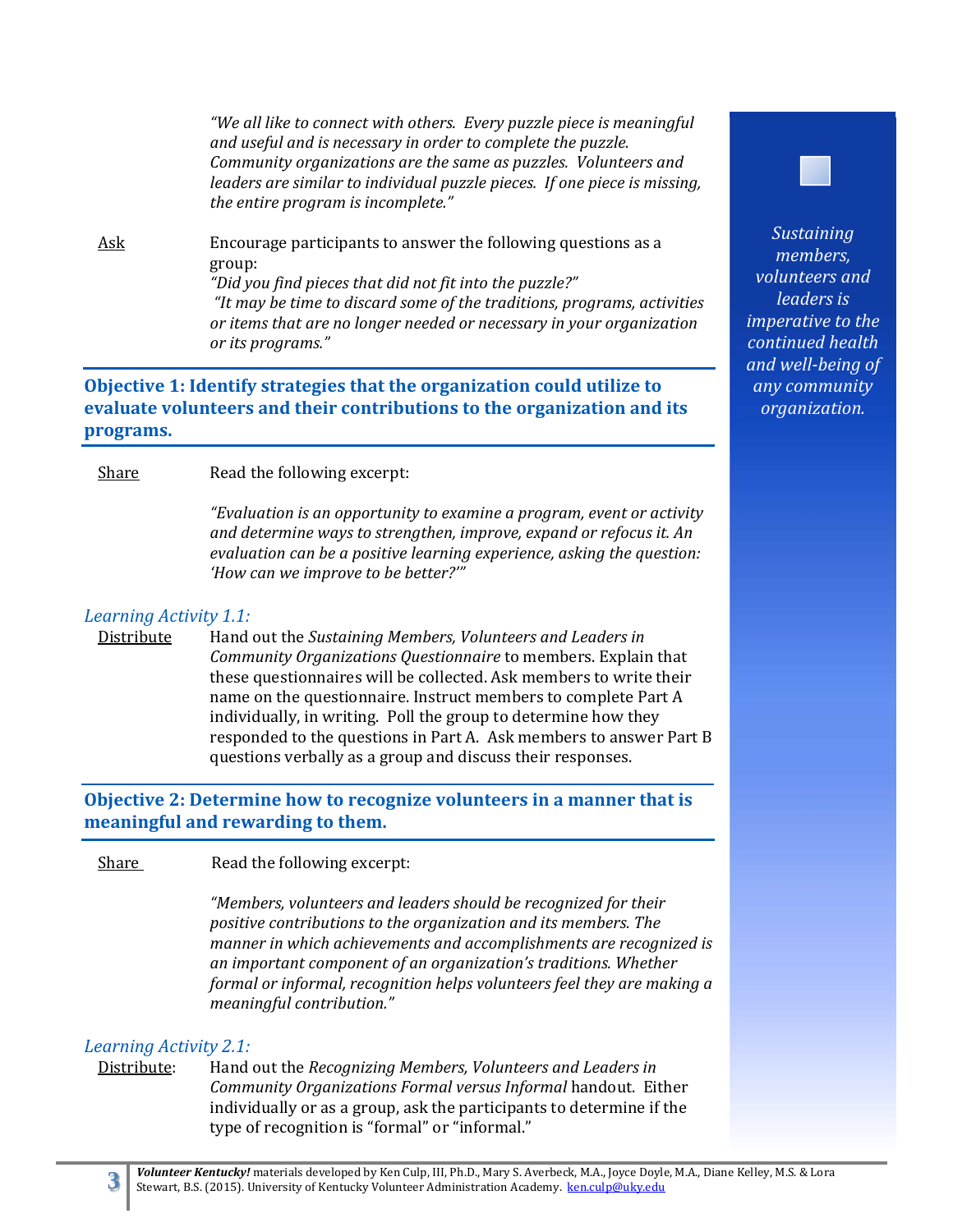*"We all like to connect with others. Every puzzle piece is meaningful and useful and is necessary in order to complete the puzzle. Community organizations are the same as puzzles. Volunteers and leaders are similar to individual puzzle pieces. If one piece is missing, the entire program is incomplete."* 

Ask Encourage participants to answer the following questions as a group: *"Did you find pieces that did not fit into the puzzle?" "It may be time to discard some of the traditions, programs, activities or items that are no longer needed or necessary in your organization or its programs."*

## **Objective 1: Identify strategies that the organization could utilize to evaluate volunteers and their contributions to the organization and its programs.**

Share Read the following excerpt:

*"Evaluation is an opportunity to examine a program, event or activity and determine ways to strengthen, improve, expand or refocus it. An evaluation can be a positive learning experience, asking the question: 'How can we improve to be better?'"*

#### *Learning Activity 1.1:*

Distribute Hand out the *Sustaining Members, Volunteers and Leaders in Community Organizations Questionnaire* to members. Explain that these questionnaires will be collected. Ask members to write their name on the questionnaire. Instruct members to complete Part A individually, in writing. Poll the group to determine how they responded to the questions in Part A. Ask members to answer Part B questions verbally as a group and discuss their responses.

**Objective 2: Determine how to recognize volunteers in a manner that is meaningful and rewarding to them.**

Share Read the following excerpt:

*"Members, volunteers and leaders should be recognized for their positive contributions to the organization and its members. The manner in which achievements and accomplishments are recognized is an important component of an organization's traditions. Whether formal or informal, recognition helps volunteers feel they are making a meaningful contribution."*

#### *Learning Activity 2.1:*

Distribute: Hand out the *Recognizing Members, Volunteers and Leaders in Community Organizations Formal versus Informal* handout. Either individually or as a group, ask the participants to determine if the type of recognition is "formal" or "informal."



*Sustaining members, volunteers and leaders is imperative to the continued health and well‐being of any community organization.*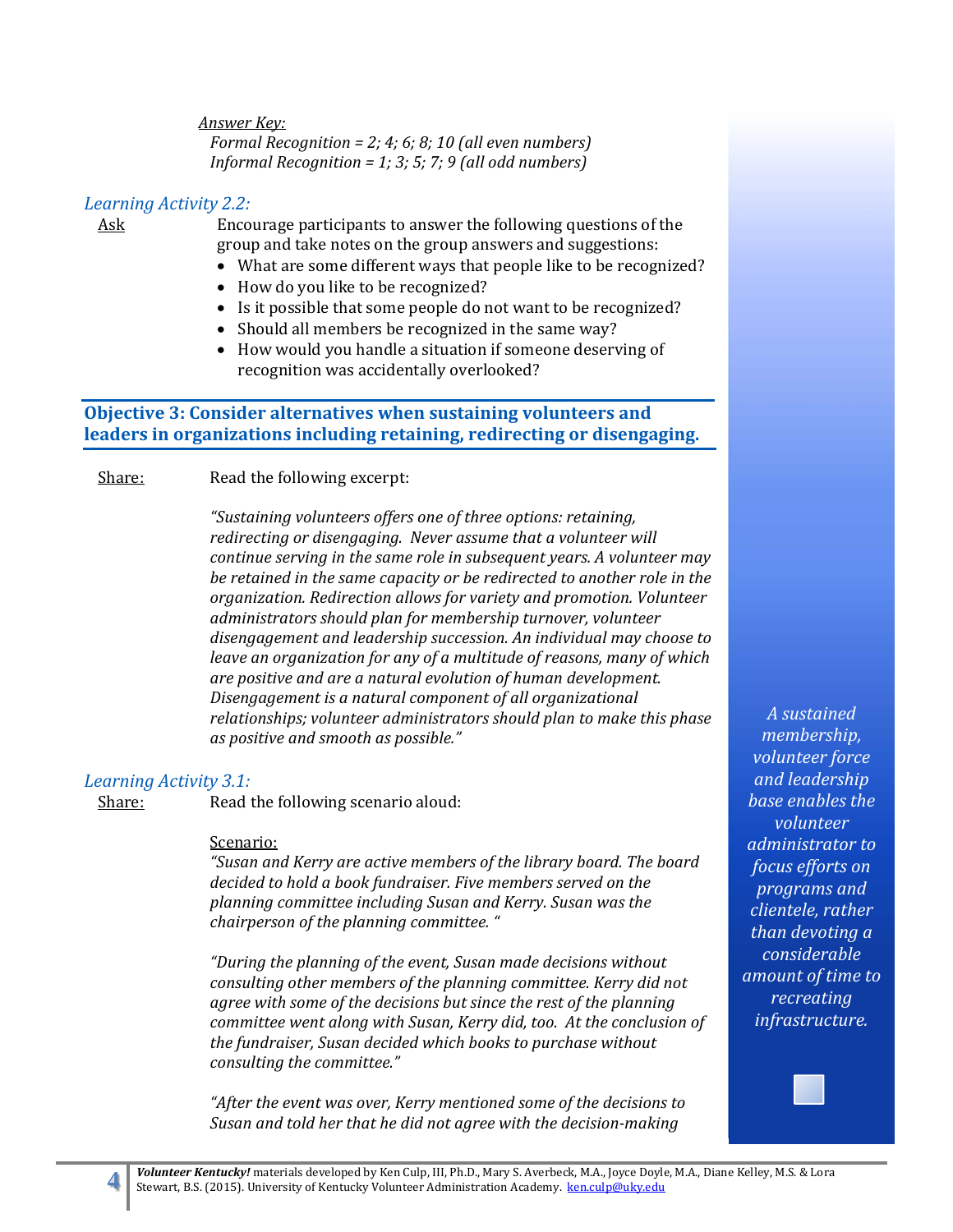*Answer Key: Formal Recognition = 2; 4; 6; 8; 10 (all even numbers) Informal Recognition = 1; 3; 5; 7; 9 (all odd numbers)*

#### *Learning Activity 2.2:*

Ask Encourage participants to answer the following questions of the group and take notes on the group answers and suggestions:

- What are some different ways that people like to be recognized?
- How do you like to be recognized?
- Is it possible that some people do not want to be recognized?
- Should all members be recognized in the same way?
- How would you handle a situation if someone deserving of recognition was accidentally overlooked?

## **Objective 3: Consider alternatives when sustaining volunteers and leaders in organizations including retaining, redirecting or disengaging.**

Share: Read the following excerpt:

*"Sustaining volunteers offers one of three options: retaining, redirecting or disengaging. Never assume that a volunteer will continue serving in the same role in subsequent years. A volunteer may be retained in the same capacity or be redirected to another role in the organization. Redirection allows for variety and promotion. Volunteer administrators should plan for membership turnover, volunteer disengagement and leadership succession. An individual may choose to leave an organization for any of a multitude of reasons, many of which are positive and are a natural evolution of human development. Disengagement is a natural component of all organizational relationships; volunteer administrators should plan to make this phase as positive and smooth as possible."*

#### *Learning Activity 3.1:*

Share: Read the following scenario aloud:

#### Scenario:

*"Susan and Kerry are active members of the library board. The board decided to hold a book fundraiser. Five members served on the planning committee including Susan and Kerry. Susan was the chairperson of the planning committee. "*

*"During the planning of the event, Susan made decisions without consulting other members of the planning committee. Kerry did not agree with some of the decisions but since the rest of the planning committee went along with Susan, Kerry did, too. At the conclusion of the fundraiser, Susan decided which books to purchase without consulting the committee."*

*"After the event was over, Kerry mentioned some of the decisions to Susan and told her that he did not agree with the decision‐making*

*A sustained membership, volunteer force and leadership base enables the volunteer administrator to focus efforts on programs and clientele, rather than devoting a considerable amount of time to recreating infrastructure.*

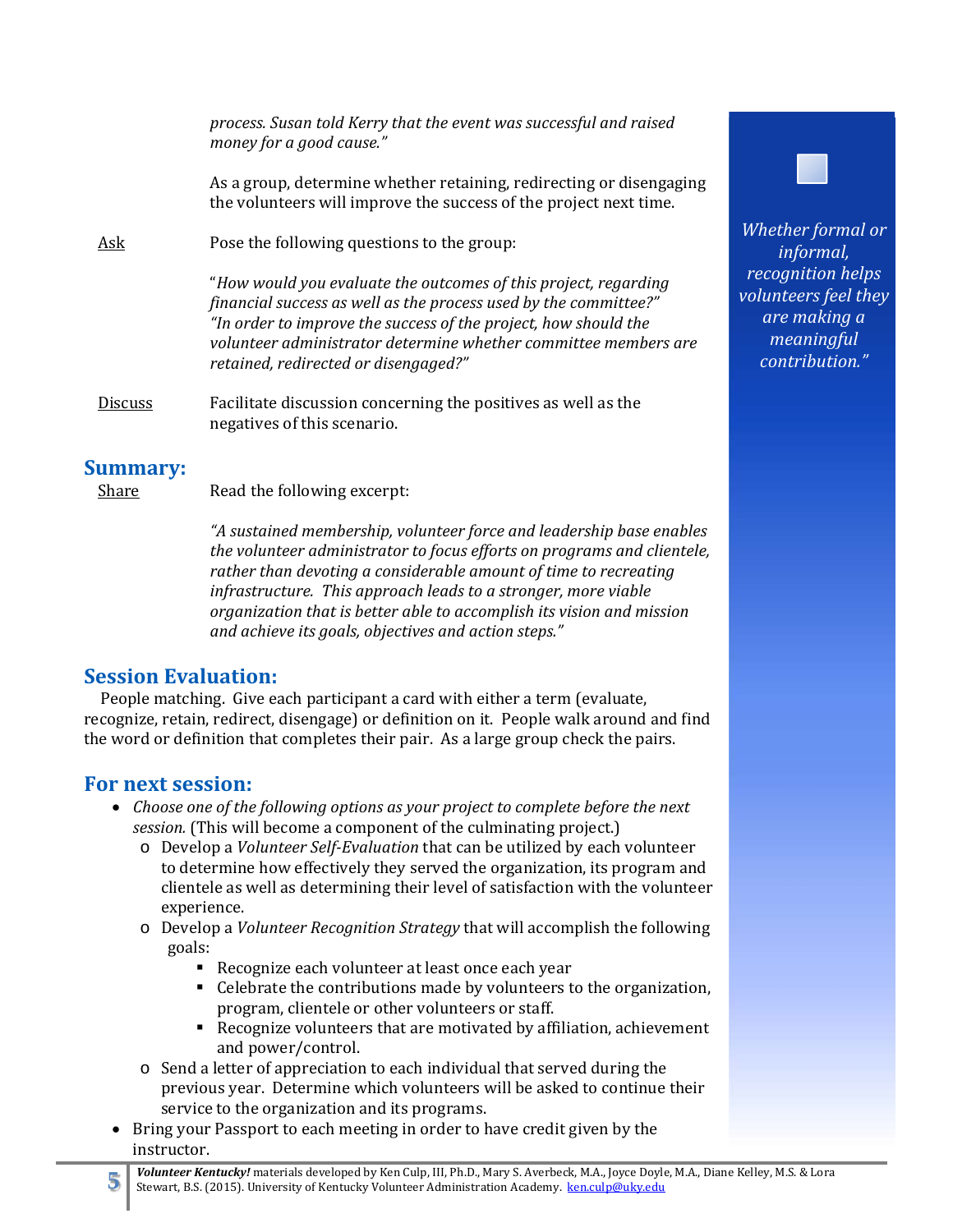*process. Susan told Kerry that the event was successful and raised money for a good cause."* As a group, determine whether retaining, redirecting or disengaging the volunteers will improve the success of the project next time. Ask Pose the following questions to the group: "*How would you evaluate the outcomes of this project, regarding financial success as well as the process used by the committee?" "In order to improve the success of the project, how should the volunteer administrator determine whether committee members are retained, redirected or disengaged?"* Discuss Facilitate discussion concerning the positives as well as the negatives of this scenario.

## **Summary:**

Share Read the following excerpt:

*"A sustained membership, volunteer force and leadership base enables the volunteer administrator to focus efforts on programs and clientele, rather than devoting a considerable amount of time to recreating infrastructure. This approach leads to a stronger, more viable organization that is better able to accomplish its vision and mission and achieve its goals, objectives and action steps."*

# **Session Evaluation:**

People matching. Give each participant a card with either a term (evaluate, recognize, retain, redirect, disengage) or definition on it. People walk around and find the word or definition that completes their pair. As a large group check the pairs.

# **For next session:**

- *Choose one of the following options as your project to complete before the next session.* (This will become a component of the culminating project.)
	- o Develop a *Volunteer Self‐Evaluation* that can be utilized by each volunteer to determine how effectively they served the organization, its program and clientele as well as determining their level of satisfaction with the volunteer experience.
	- o Develop a *Volunteer Recognition Strategy* that will accomplish the following goals:
		- Recognize each volunteer at least once each year
		- $\blacksquare$  Celebrate the contributions made by volunteers to the organization, program, clientele or other volunteers or staff.
		- Recognize volunteers that are motivated by affiliation, achievement and power/control.
	- $\circ$  Send a letter of appreciation to each individual that served during the previous year. Determine which volunteers will be asked to continue their service to the organization and its programs.
- Bring your Passport to each meeting in order to have credit given by the instructor.



*Whether formal or informal, recognition helps volunteers feel they are making a meaningful contribution."*

Volunteer Kentucky! materials developed by Ken Culp, III, Ph.D., Mary S. Averbeck, M.A., Joyce Doyle, M.A., Diane Kelley, M.S. & Lora Stewart, B.S. (2015). University of Kentucky Volunteer Administration Academy. ken.culp@uky.edu